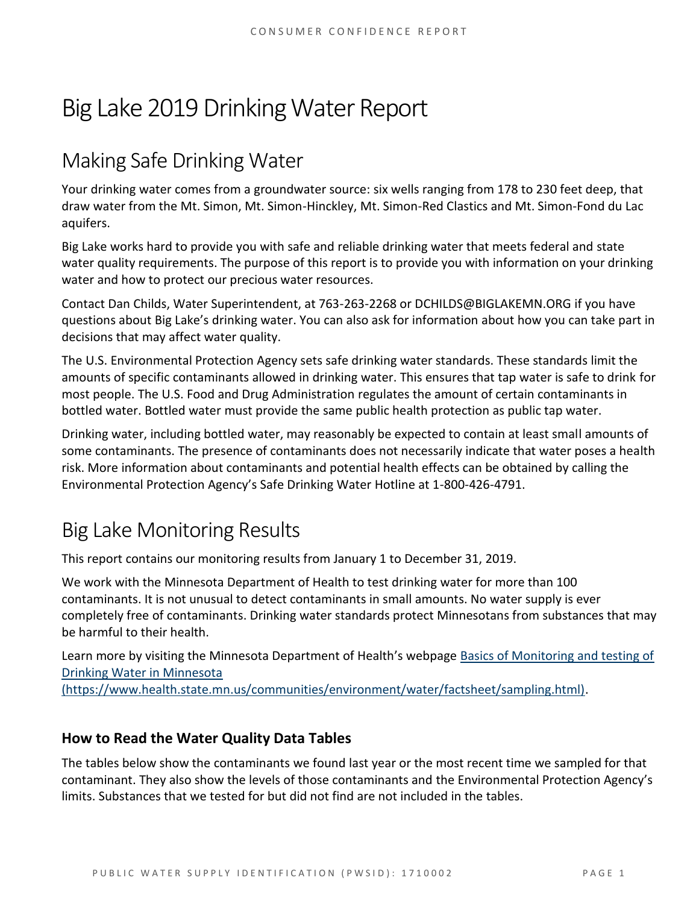# Big Lake 2019 Drinking Water Report

### Making Safe Drinking Water

Your drinking water comes from a groundwater source: six wells ranging from 178 to 230 feet deep, that draw water from the Mt. Simon, Mt. Simon-Hinckley, Mt. Simon-Red Clastics and Mt. Simon-Fond du Lac aquifers.

Big Lake works hard to provide you with safe and reliable drinking water that meets federal and state water quality requirements. The purpose of this report is to provide you with information on your drinking water and how to protect our precious water resources.

Contact Dan Childs, Water Superintendent, at 763-263-2268 or DCHILDS@BIGLAKEMN.ORG if you have questions about Big Lake's drinking water. You can also ask for information about how you can take part in decisions that may affect water quality.

The U.S. Environmental Protection Agency sets safe drinking water standards. These standards limit the amounts of specific contaminants allowed in drinking water. This ensures that tap water is safe to drink for most people. The U.S. Food and Drug Administration regulates the amount of certain contaminants in bottled water. Bottled water must provide the same public health protection as public tap water.

Drinking water, including bottled water, may reasonably be expected to contain at least small amounts of some contaminants. The presence of contaminants does not necessarily indicate that water poses a health risk. More information about contaminants and potential health effects can be obtained by calling the Environmental Protection Agency's Safe Drinking Water Hotline at 1-800-426-4791.

## Big Lake Monitoring Results

This report contains our monitoring results from January 1 to December 31, 2019.

We work with the Minnesota Department of Health to test drinking water for more than 100 contaminants. It is not unusual to detect contaminants in small amounts. No water supply is ever completely free of contaminants. Drinking water standards protect Minnesotans from substances that may be harmful to their health.

Learn more by visiting the Minnesota Department of Health's webpage [Basics of Monitoring and testing of](https://www.health.state.mn.us/communities/environment/water/factsheet/sampling.html)  [Drinking Water in Minnesota](https://www.health.state.mn.us/communities/environment/water/factsheet/sampling.html) 

[\(https://www.health.state.mn.us/communities/environment/water/factsheet/sampling.html\).](https://www.health.state.mn.us/communities/environment/water/factsheet/sampling.html)

#### **How to Read the Water Quality Data Tables**

The tables below show the contaminants we found last year or the most recent time we sampled for that contaminant. They also show the levels of those contaminants and the Environmental Protection Agency's limits. Substances that we tested for but did not find are not included in the tables.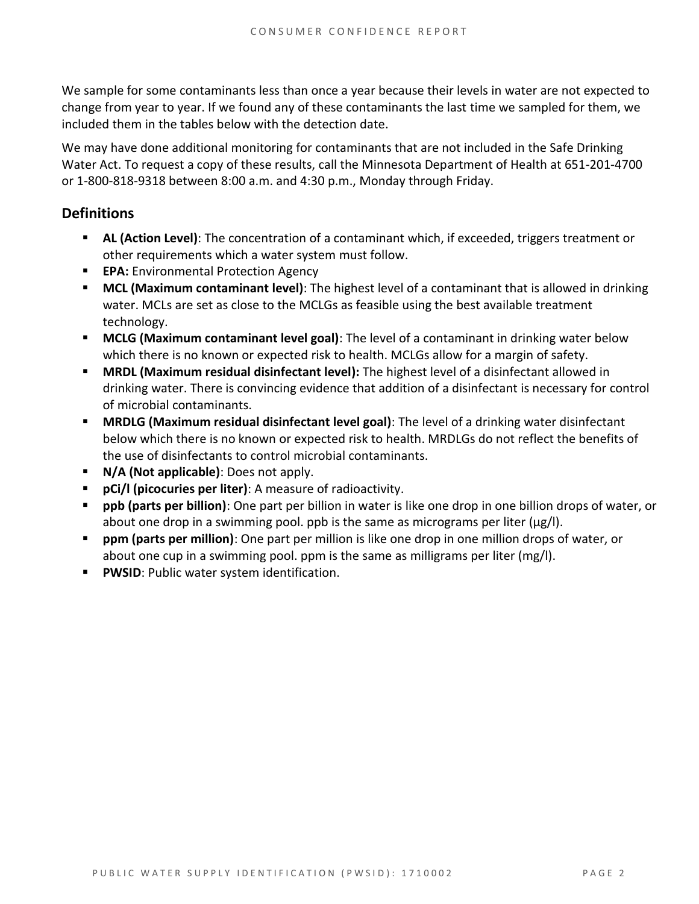We sample for some contaminants less than once a year because their levels in water are not expected to change from year to year. If we found any of these contaminants the last time we sampled for them, we included them in the tables below with the detection date.

We may have done additional monitoring for contaminants that are not included in the Safe Drinking Water Act. To request a copy of these results, call the Minnesota Department of Health at 651-201-4700 or 1-800-818-9318 between 8:00 a.m. and 4:30 p.m., Monday through Friday.

#### **Definitions**

- **AL (Action Level)**: The concentration of a contaminant which, if exceeded, triggers treatment or other requirements which a water system must follow.
- **EPA:** Environmental Protection Agency
- **MCL (Maximum contaminant level)**: The highest level of a contaminant that is allowed in drinking water. MCLs are set as close to the MCLGs as feasible using the best available treatment technology.
- **MCLG (Maximum contaminant level goal)**: The level of a contaminant in drinking water below which there is no known or expected risk to health. MCLGs allow for a margin of safety.
- **MRDL (Maximum residual disinfectant level):** The highest level of a disinfectant allowed in drinking water. There is convincing evidence that addition of a disinfectant is necessary for control of microbial contaminants.
- **MRDLG (Maximum residual disinfectant level goal)**: The level of a drinking water disinfectant below which there is no known or expected risk to health. MRDLGs do not reflect the benefits of the use of disinfectants to control microbial contaminants.
- **N/A (Not applicable)**: Does not apply.
- **pCi/l (picocuries per liter)**: A measure of radioactivity.
- **ppb (parts per billion)**: One part per billion in water is like one drop in one billion drops of water, or about one drop in a swimming pool. ppb is the same as micrograms per liter (μg/l).
- **ppm (parts per million)**: One part per million is like one drop in one million drops of water, or about one cup in a swimming pool. ppm is the same as milligrams per liter (mg/l).
- **PWSID**: Public water system identification.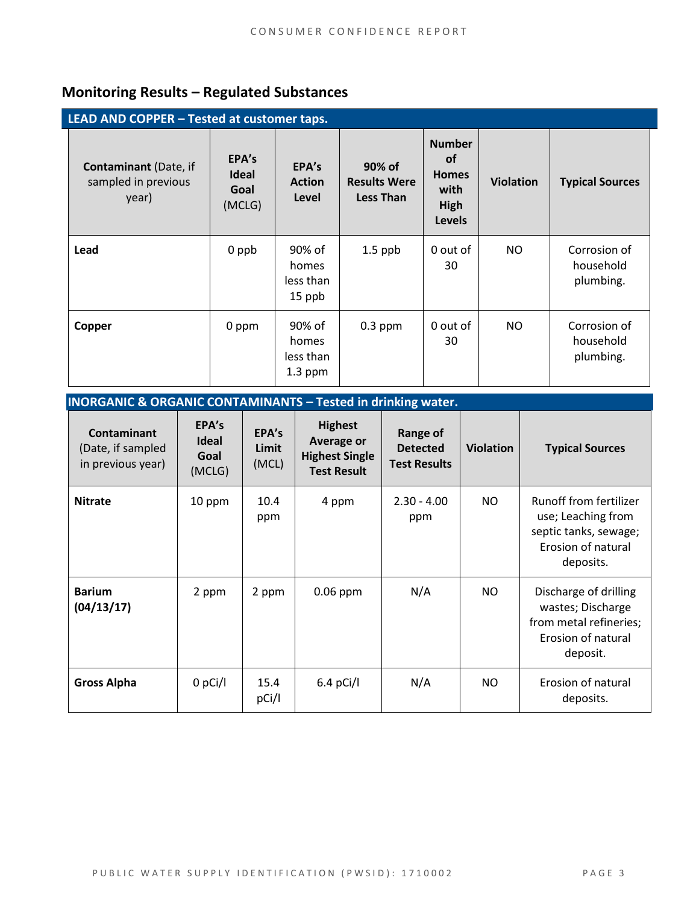### **Monitoring Results – Regulated Substances**

**INORGANIC & ORGANIC CONTAMINANTS – Tested in drinking water.**

| LEAD AND COPPER - Tested at customer taps.                   |                                         |                                           |                                                   |                                                                             |                  |                                        |
|--------------------------------------------------------------|-----------------------------------------|-------------------------------------------|---------------------------------------------------|-----------------------------------------------------------------------------|------------------|----------------------------------------|
| <b>Contaminant</b> (Date, if<br>sampled in previous<br>year) | EPA's<br><b>Ideal</b><br>Goal<br>(MCLG) | EPA's<br><b>Action</b><br>Level           | 90% of<br><b>Results Were</b><br><b>Less Than</b> | <b>Number</b><br><b>of</b><br><b>Homes</b><br>with<br>High<br><b>Levels</b> | <b>Violation</b> | <b>Typical Sources</b>                 |
| Lead                                                         | 0 ppb                                   | 90% of<br>homes<br>less than<br>15 ppb    | $1.5$ ppb                                         | 0 out of<br>30                                                              | NO.              | Corrosion of<br>household<br>plumbing. |
| Copper                                                       | 0 ppm                                   | 90% of<br>homes<br>less than<br>$1.3$ ppm | $0.3$ ppm                                         | 0 out of<br>30                                                              | NO               | Corrosion of<br>household<br>plumbing. |

| <b>INURGANIC &amp; URGANIC CUNTAMINANTS – TESTED IN OFITIALLY WATER.</b> |                                         |                         |                                                                                    |                                                    |                  |                                                                                                          |
|--------------------------------------------------------------------------|-----------------------------------------|-------------------------|------------------------------------------------------------------------------------|----------------------------------------------------|------------------|----------------------------------------------------------------------------------------------------------|
| <b>Contaminant</b><br>(Date, if sampled<br>in previous year)             | EPA's<br><b>Ideal</b><br>Goal<br>(MCLG) | EPA's<br>Limit<br>(MCL) | <b>Highest</b><br><b>Average or</b><br><b>Highest Single</b><br><b>Test Result</b> | Range of<br><b>Detected</b><br><b>Test Results</b> | <b>Violation</b> | <b>Typical Sources</b>                                                                                   |
| <b>Nitrate</b>                                                           | 10 ppm                                  | 10.4<br>ppm             | 4 ppm                                                                              | $2.30 - 4.00$<br>ppm                               | <b>NO</b>        | Runoff from fertilizer<br>use; Leaching from<br>septic tanks, sewage;<br>Erosion of natural<br>deposits. |
| <b>Barium</b><br>(04/13/17)                                              | 2 ppm                                   | 2 ppm                   | $0.06$ ppm                                                                         | N/A                                                | <b>NO</b>        | Discharge of drilling<br>wastes; Discharge<br>from metal refineries;<br>Erosion of natural<br>deposit.   |
| <b>Gross Alpha</b>                                                       | $0$ pCi/l                               | 15.4<br>pCi/l           | $6.4$ pCi/l                                                                        | N/A                                                | <b>NO</b>        | Erosion of natural<br>deposits.                                                                          |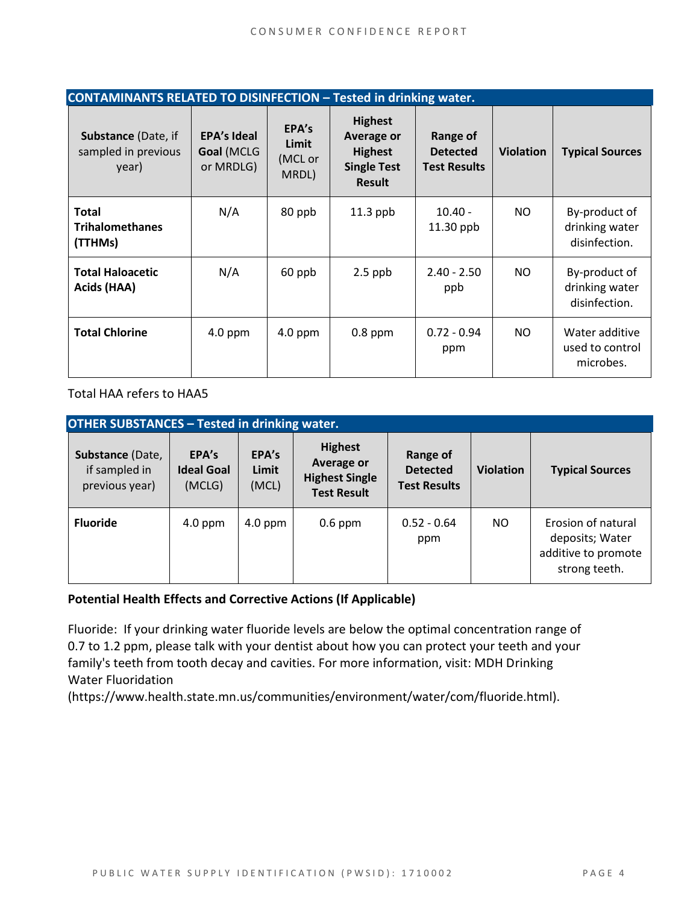| CONTAMINANTS RELATED TO DISINFECTION - Tested in drinking water. |                                               |                                    |                                                                                       |                                                    |                  |                                                  |  |
|------------------------------------------------------------------|-----------------------------------------------|------------------------------------|---------------------------------------------------------------------------------------|----------------------------------------------------|------------------|--------------------------------------------------|--|
| <b>Substance (Date, if</b><br>sampled in previous<br>year)       | <b>EPA's Ideal</b><br>Goal (MCLG<br>or MRDLG) | EPA's<br>Limit<br>(MCL or<br>MRDL) | <b>Highest</b><br>Average or<br><b>Highest</b><br><b>Single Test</b><br><b>Result</b> | Range of<br><b>Detected</b><br><b>Test Results</b> | <b>Violation</b> | <b>Typical Sources</b>                           |  |
| <b>Total</b><br><b>Trihalomethanes</b><br>(TTHMs)                | N/A                                           | 80 ppb                             | $11.3$ ppb                                                                            | $10.40 -$<br>11.30 ppb                             | NO.              | By-product of<br>drinking water<br>disinfection. |  |
| <b>Total Haloacetic</b><br>Acids (HAA)                           | N/A                                           | 60 ppb                             | $2.5$ ppb                                                                             | $2.40 - 2.50$<br>ppb                               | NO.              | By-product of<br>drinking water<br>disinfection. |  |
| <b>Total Chlorine</b>                                            | $4.0$ ppm                                     | $4.0$ ppm                          | $0.8$ ppm                                                                             | $0.72 - 0.94$<br>ppm                               | NO.              | Water additive<br>used to control<br>microbes.   |  |

Total HAA refers to HAA5

| <b>OTHER SUBSTANCES - Tested in drinking water.</b> |                                      |                         |                                                                                    |                                                    |                  |                                                                               |  |
|-----------------------------------------------------|--------------------------------------|-------------------------|------------------------------------------------------------------------------------|----------------------------------------------------|------------------|-------------------------------------------------------------------------------|--|
| Substance (Date,<br>if sampled in<br>previous year) | EPA's<br><b>Ideal Goal</b><br>(MCLG) | EPA's<br>Limit<br>(MCL) | <b>Highest</b><br><b>Average or</b><br><b>Highest Single</b><br><b>Test Result</b> | Range of<br><b>Detected</b><br><b>Test Results</b> | <b>Violation</b> | <b>Typical Sources</b>                                                        |  |
| <b>Fluoride</b>                                     | $4.0$ ppm                            | $4.0$ ppm               | $0.6$ ppm                                                                          | $0.52 - 0.64$<br>ppm                               | NO.              | Erosion of natural<br>deposits; Water<br>additive to promote<br>strong teeth. |  |

#### **Potential Health Effects and Corrective Actions (If Applicable)**

Fluoride: If your drinking water fluoride levels are below the optimal concentration range of 0.7 to 1.2 ppm, please talk with your dentist about how you can protect your teeth and your family's teeth from tooth decay and cavities. For more information, visit: MDH Drinking Water Fluoridation

(https://www.health.state.mn.us/communities/environment/water/com/fluoride.html).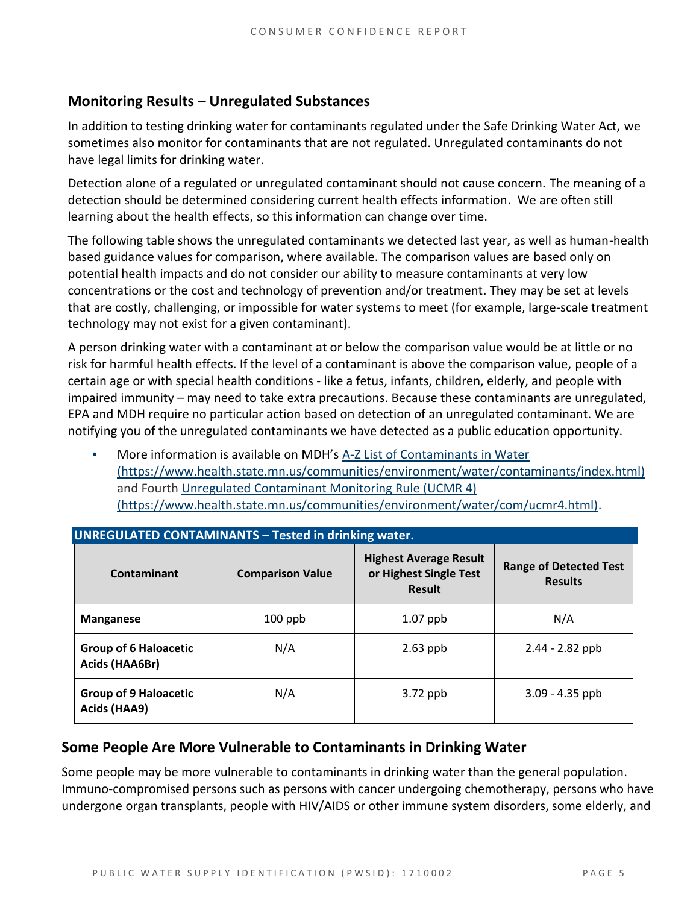#### **Monitoring Results – Unregulated Substances**

In addition to testing drinking water for contaminants regulated under the Safe Drinking Water Act, we sometimes also monitor for contaminants that are not regulated. Unregulated contaminants do not have legal limits for drinking water.

Detection alone of a regulated or unregulated contaminant should not cause concern. The meaning of a detection should be determined considering current health effects information. We are often still learning about the health effects, so this information can change over time.

The following table shows the unregulated contaminants we detected last year, as well as human-health based guidance values for comparison, where available. The comparison values are based only on potential health impacts and do not consider our ability to measure contaminants at very low concentrations or the cost and technology of prevention and/or treatment. They may be set at levels that are costly, challenging, or impossible for water systems to meet (for example, large-scale treatment technology may not exist for a given contaminant).

A person drinking water with a contaminant at or below the comparison value would be at little or no risk for harmful health effects. If the level of a contaminant is above the comparison value, people of a certain age or with special health conditions - like a fetus, infants, children, elderly, and people with impaired immunity – may need to take extra precautions. Because these contaminants are unregulated, EPA and MDH require no particular action based on detection of an unregulated contaminant. We are notifying you of the unregulated contaminants we have detected as a public education opportunity.

More information is available on MDH's A-Z List of Contaminants in Water [\(https://www.health.state.mn.us/communities/environment/water/contaminants/index.html\)](https://www.health.state.mn.us/communities/environment/water/contaminants/index.html) and Fourth [Unregulated Contaminant Monitoring Rule \(UCMR 4\)](https://www.health.state.mn.us/communities/environment/water/com/ucmr4.html)  [\(https://www.health.state.mn.us/communities/environment/water/com/ucmr4.html\).](https://www.health.state.mn.us/communities/environment/water/com/ucmr4.html)

| <b>UNREGULATED CONTAMINANTS - Tested in drinking water.</b> |                         |                                                                          |                                                 |  |  |  |  |
|-------------------------------------------------------------|-------------------------|--------------------------------------------------------------------------|-------------------------------------------------|--|--|--|--|
| Contaminant                                                 | <b>Comparison Value</b> | <b>Highest Average Result</b><br>or Highest Single Test<br><b>Result</b> | <b>Range of Detected Test</b><br><b>Results</b> |  |  |  |  |
| <b>Manganese</b>                                            | $100$ ppb               | $1.07$ ppb                                                               | N/A                                             |  |  |  |  |
| <b>Group of 6 Haloacetic</b><br>Acids (HAA6Br)              | N/A                     | $2.63$ ppb                                                               | $2.44 - 2.82$ ppb                               |  |  |  |  |
| <b>Group of 9 Haloacetic</b><br>Acids (HAA9)                | N/A                     | $3.72$ ppb                                                               | $3.09 - 4.35$ ppb                               |  |  |  |  |

#### **Some People Are More Vulnerable to Contaminants in Drinking Water**

Some people may be more vulnerable to contaminants in drinking water than the general population. Immuno-compromised persons such as persons with cancer undergoing chemotherapy, persons who have undergone organ transplants, people with HIV/AIDS or other immune system disorders, some elderly, and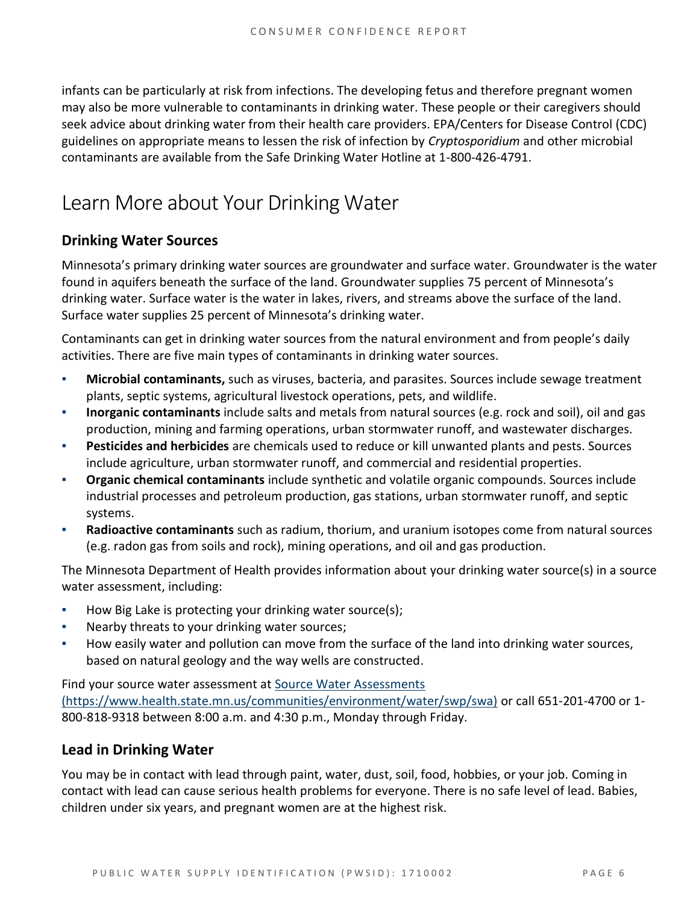infants can be particularly at risk from infections. The developing fetus and therefore pregnant women may also be more vulnerable to contaminants in drinking water. These people or their caregivers should seek advice about drinking water from their health care providers. EPA/Centers for Disease Control (CDC) guidelines on appropriate means to lessen the risk of infection by *Cryptosporidium* and other microbial contaminants are available from the Safe Drinking Water Hotline at 1-800-426-4791.

### Learn More about Your Drinking Water

#### **Drinking Water Sources**

Minnesota's primary drinking water sources are groundwater and surface water. Groundwater is the water found in aquifers beneath the surface of the land. Groundwater supplies 75 percent of Minnesota's drinking water. Surface water is the water in lakes, rivers, and streams above the surface of the land. Surface water supplies 25 percent of Minnesota's drinking water.

Contaminants can get in drinking water sources from the natural environment and from people's daily activities. There are five main types of contaminants in drinking water sources.

- **Microbial contaminants,** such as viruses, bacteria, and parasites. Sources include sewage treatment plants, septic systems, agricultural livestock operations, pets, and wildlife.
- **Inorganic contaminants** include salts and metals from natural sources (e.g. rock and soil), oil and gas production, mining and farming operations, urban stormwater runoff, and wastewater discharges.
- **Pesticides and herbicides** are chemicals used to reduce or kill unwanted plants and pests. Sources include agriculture, urban stormwater runoff, and commercial and residential properties.
- **Organic chemical contaminants** include synthetic and volatile organic compounds. Sources include industrial processes and petroleum production, gas stations, urban stormwater runoff, and septic systems.
- **Radioactive contaminants** such as radium, thorium, and uranium isotopes come from natural sources (e.g. radon gas from soils and rock), mining operations, and oil and gas production.

The Minnesota Department of Health provides information about your drinking water source(s) in a source water assessment, including:

- How Big Lake is protecting your drinking water source(s);
- Nearby threats to your drinking water sources;
- How easily water and pollution can move from the surface of the land into drinking water sources, based on natural geology and the way wells are constructed.

Find your source water assessment at [Source Water Assessments](https://www.health.state.mn.us/communities/environment/water/swp/swa)  [\(https://www.health.state.mn.us/communities/environment/water/swp/swa\)](https://www.health.state.mn.us/communities/environment/water/swp/swa) or call 651-201-4700 or 1- 800-818-9318 between 8:00 a.m. and 4:30 p.m., Monday through Friday.

#### **Lead in Drinking Water**

You may be in contact with lead through paint, water, dust, soil, food, hobbies, or your job. Coming in contact with lead can cause serious health problems for everyone. There is no safe level of lead. Babies, children under six years, and pregnant women are at the highest risk.